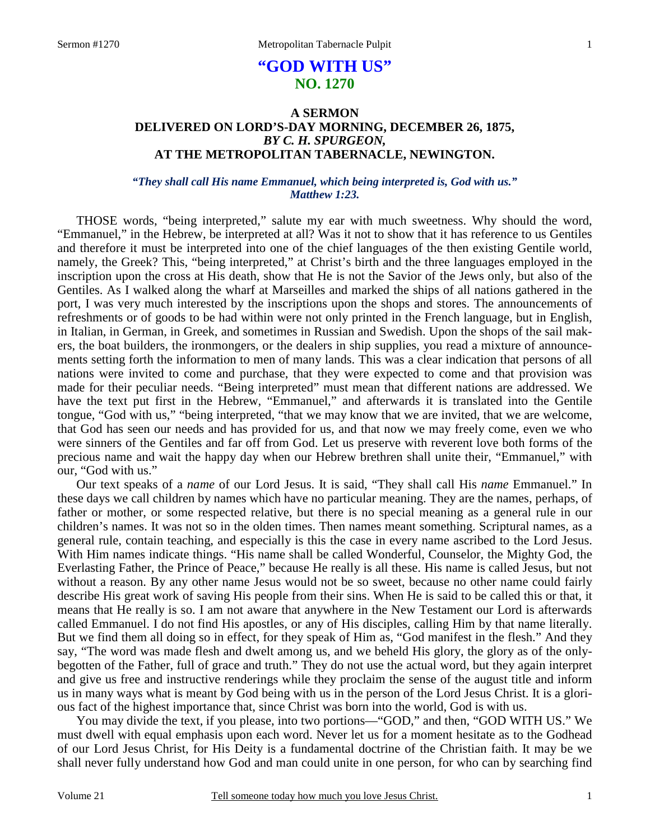## **"GOD WITH US" NO. 1270**

### **A SERMON DELIVERED ON LORD'S-DAY MORNING, DECEMBER 26, 1875,** *BY C. H. SPURGEON,*  **AT THE METROPOLITAN TABERNACLE, NEWINGTON.**

#### *"They shall call His name Emmanuel, which being interpreted is, God with us." Matthew 1:23.*

THOSE words, "being interpreted," salute my ear with much sweetness. Why should the word, "Emmanuel," in the Hebrew, be interpreted at all? Was it not to show that it has reference to us Gentiles and therefore it must be interpreted into one of the chief languages of the then existing Gentile world, namely, the Greek? This, "being interpreted," at Christ's birth and the three languages employed in the inscription upon the cross at His death, show that He is not the Savior of the Jews only, but also of the Gentiles. As I walked along the wharf at Marseilles and marked the ships of all nations gathered in the port, I was very much interested by the inscriptions upon the shops and stores. The announcements of refreshments or of goods to be had within were not only printed in the French language, but in English, in Italian, in German, in Greek, and sometimes in Russian and Swedish. Upon the shops of the sail makers, the boat builders, the ironmongers, or the dealers in ship supplies, you read a mixture of announcements setting forth the information to men of many lands. This was a clear indication that persons of all nations were invited to come and purchase, that they were expected to come and that provision was made for their peculiar needs. "Being interpreted" must mean that different nations are addressed. We have the text put first in the Hebrew, "Emmanuel," and afterwards it is translated into the Gentile tongue, "God with us," "being interpreted, "that we may know that we are invited, that we are welcome, that God has seen our needs and has provided for us, and that now we may freely come, even we who were sinners of the Gentiles and far off from God. Let us preserve with reverent love both forms of the precious name and wait the happy day when our Hebrew brethren shall unite their, "Emmanuel," with our, "God with us."

Our text speaks of a *name* of our Lord Jesus. It is said, "They shall call His *name* Emmanuel." In these days we call children by names which have no particular meaning. They are the names, perhaps, of father or mother, or some respected relative, but there is no special meaning as a general rule in our children's names. It was not so in the olden times. Then names meant something. Scriptural names, as a general rule, contain teaching, and especially is this the case in every name ascribed to the Lord Jesus. With Him names indicate things. "His name shall be called Wonderful, Counselor, the Mighty God, the Everlasting Father, the Prince of Peace," because He really is all these. His name is called Jesus, but not without a reason. By any other name Jesus would not be so sweet, because no other name could fairly describe His great work of saving His people from their sins. When He is said to be called this or that, it means that He really is so. I am not aware that anywhere in the New Testament our Lord is afterwards called Emmanuel. I do not find His apostles, or any of His disciples, calling Him by that name literally. But we find them all doing so in effect, for they speak of Him as, "God manifest in the flesh." And they say, "The word was made flesh and dwelt among us, and we beheld His glory, the glory as of the onlybegotten of the Father, full of grace and truth." They do not use the actual word, but they again interpret and give us free and instructive renderings while they proclaim the sense of the august title and inform us in many ways what is meant by God being with us in the person of the Lord Jesus Christ. It is a glorious fact of the highest importance that, since Christ was born into the world, God is with us.

You may divide the text, if you please, into two portions—"GOD," and then, "GOD WITH US." We must dwell with equal emphasis upon each word. Never let us for a moment hesitate as to the Godhead of our Lord Jesus Christ, for His Deity is a fundamental doctrine of the Christian faith. It may be we shall never fully understand how God and man could unite in one person, for who can by searching find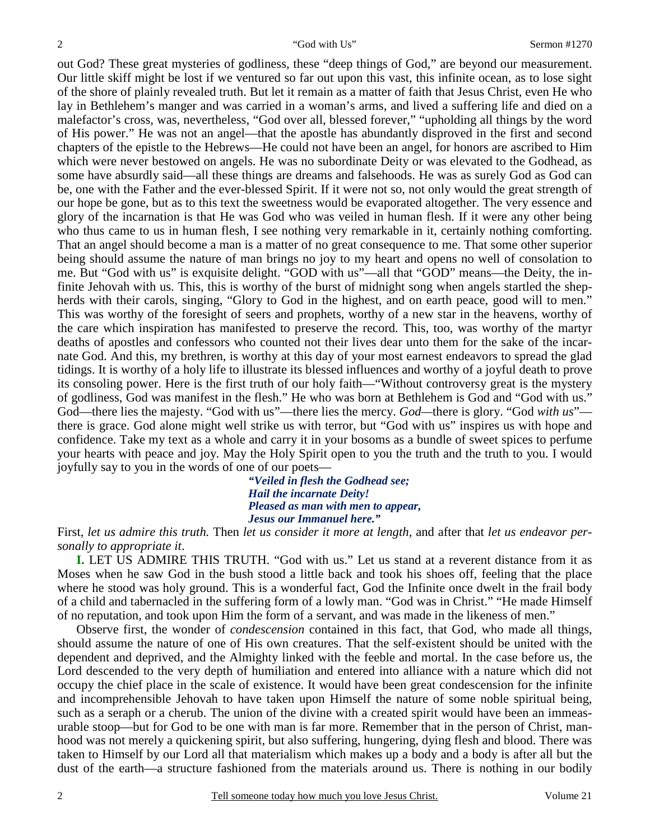out God? These great mysteries of godliness, these "deep things of God," are beyond our measurement. Our little skiff might be lost if we ventured so far out upon this vast, this infinite ocean, as to lose sight of the shore of plainly revealed truth. But let it remain as a matter of faith that Jesus Christ, even He who lay in Bethlehem's manger and was carried in a woman's arms, and lived a suffering life and died on a malefactor's cross, was, nevertheless, "God over all, blessed forever," "upholding all things by the word of His power." He was not an angel—that the apostle has abundantly disproved in the first and second chapters of the epistle to the Hebrews—He could not have been an angel, for honors are ascribed to Him which were never bestowed on angels. He was no subordinate Deity or was elevated to the Godhead, as some have absurdly said—all these things are dreams and falsehoods. He was as surely God as God can be, one with the Father and the ever-blessed Spirit. If it were not so, not only would the great strength of our hope be gone, but as to this text the sweetness would be evaporated altogether. The very essence and glory of the incarnation is that He was God who was veiled in human flesh. If it were any other being who thus came to us in human flesh, I see nothing very remarkable in it, certainly nothing comforting. That an angel should become a man is a matter of no great consequence to me. That some other superior being should assume the nature of man brings no joy to my heart and opens no well of consolation to me. But "God with us" is exquisite delight. "GOD with us"—all that "GOD" means—the Deity, the infinite Jehovah with us. This, this is worthy of the burst of midnight song when angels startled the shepherds with their carols, singing, "Glory to God in the highest, and on earth peace, good will to men." This was worthy of the foresight of seers and prophets, worthy of a new star in the heavens, worthy of the care which inspiration has manifested to preserve the record. This, too, was worthy of the martyr deaths of apostles and confessors who counted not their lives dear unto them for the sake of the incarnate God. And this, my brethren, is worthy at this day of your most earnest endeavors to spread the glad tidings. It is worthy of a holy life to illustrate its blessed influences and worthy of a joyful death to prove its consoling power. Here is the first truth of our holy faith—"Without controversy great is the mystery of godliness, God was manifest in the flesh." He who was born at Bethlehem is God and "God with us." God—there lies the majesty. "God with us"—there lies the mercy. *God—*there is glory. "God *with us*" there is grace. God alone might well strike us with terror, but "God with us" inspires us with hope and confidence. Take my text as a whole and carry it in your bosoms as a bundle of sweet spices to perfume your hearts with peace and joy. May the Holy Spirit open to you the truth and the truth to you. I would joyfully say to you in the words of one of our poets—

> *"Veiled in flesh the Godhead see; Hail the incarnate Deity! Pleased as man with men to appear, Jesus our Immanuel here."*

First, *let us admire this truth.* Then *let us consider it more at length,* and after that *let us endeavor personally to appropriate it*.

**I.** LET US ADMIRE THIS TRUTH. "God with us." Let us stand at a reverent distance from it as Moses when he saw God in the bush stood a little back and took his shoes off, feeling that the place where he stood was holy ground. This is a wonderful fact, God the Infinite once dwelt in the frail body of a child and tabernacled in the suffering form of a lowly man. "God was in Christ." "He made Himself of no reputation, and took upon Him the form of a servant, and was made in the likeness of men."

Observe first, the wonder of *condescension* contained in this fact, that God, who made all things, should assume the nature of one of His own creatures. That the self-existent should be united with the dependent and deprived, and the Almighty linked with the feeble and mortal. In the case before us, the Lord descended to the very depth of humiliation and entered into alliance with a nature which did not occupy the chief place in the scale of existence. It would have been great condescension for the infinite and incomprehensible Jehovah to have taken upon Himself the nature of some noble spiritual being, such as a seraph or a cherub. The union of the divine with a created spirit would have been an immeasurable stoop—but for God to be one with man is far more. Remember that in the person of Christ, manhood was not merely a quickening spirit, but also suffering, hungering, dying flesh and blood. There was taken to Himself by our Lord all that materialism which makes up a body and a body is after all but the dust of the earth—a structure fashioned from the materials around us. There is nothing in our bodily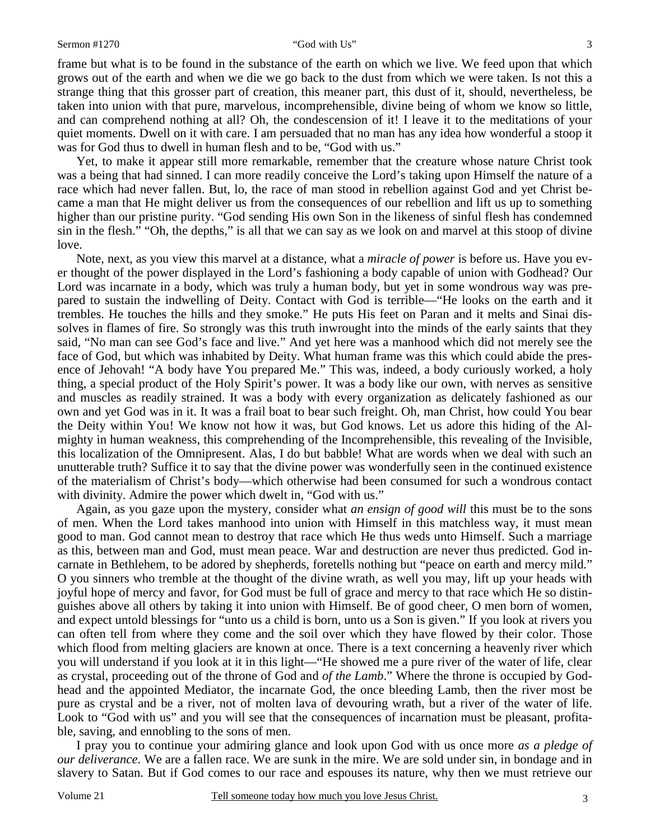frame but what is to be found in the substance of the earth on which we live. We feed upon that which grows out of the earth and when we die we go back to the dust from which we were taken. Is not this a strange thing that this grosser part of creation, this meaner part, this dust of it, should, nevertheless, be taken into union with that pure, marvelous, incomprehensible, divine being of whom we know so little, and can comprehend nothing at all? Oh, the condescension of it! I leave it to the meditations of your quiet moments. Dwell on it with care. I am persuaded that no man has any idea how wonderful a stoop it was for God thus to dwell in human flesh and to be, "God with us."

Yet, to make it appear still more remarkable, remember that the creature whose nature Christ took was a being that had sinned. I can more readily conceive the Lord's taking upon Himself the nature of a race which had never fallen. But, lo, the race of man stood in rebellion against God and yet Christ became a man that He might deliver us from the consequences of our rebellion and lift us up to something higher than our pristine purity. "God sending His own Son in the likeness of sinful flesh has condemned sin in the flesh." "Oh, the depths," is all that we can say as we look on and marvel at this stoop of divine love.

Note, next, as you view this marvel at a distance, what a *miracle of power* is before us. Have you ever thought of the power displayed in the Lord's fashioning a body capable of union with Godhead? Our Lord was incarnate in a body, which was truly a human body, but yet in some wondrous way was prepared to sustain the indwelling of Deity. Contact with God is terrible—"He looks on the earth and it trembles. He touches the hills and they smoke." He puts His feet on Paran and it melts and Sinai dissolves in flames of fire. So strongly was this truth inwrought into the minds of the early saints that they said, "No man can see God's face and live." And yet here was a manhood which did not merely see the face of God, but which was inhabited by Deity. What human frame was this which could abide the presence of Jehovah! "A body have You prepared Me." This was, indeed, a body curiously worked, a holy thing, a special product of the Holy Spirit's power. It was a body like our own, with nerves as sensitive and muscles as readily strained. It was a body with every organization as delicately fashioned as our own and yet God was in it. It was a frail boat to bear such freight. Oh, man Christ, how could You bear the Deity within You! We know not how it was, but God knows. Let us adore this hiding of the Almighty in human weakness, this comprehending of the Incomprehensible, this revealing of the Invisible, this localization of the Omnipresent. Alas, I do but babble! What are words when we deal with such an unutterable truth? Suffice it to say that the divine power was wonderfully seen in the continued existence of the materialism of Christ's body—which otherwise had been consumed for such a wondrous contact with divinity. Admire the power which dwelt in, "God with us."

Again, as you gaze upon the mystery, consider what *an ensign of good will* this must be to the sons of men. When the Lord takes manhood into union with Himself in this matchless way, it must mean good to man. God cannot mean to destroy that race which He thus weds unto Himself. Such a marriage as this, between man and God, must mean peace. War and destruction are never thus predicted. God incarnate in Bethlehem, to be adored by shepherds, foretells nothing but "peace on earth and mercy mild." O you sinners who tremble at the thought of the divine wrath, as well you may, lift up your heads with joyful hope of mercy and favor, for God must be full of grace and mercy to that race which He so distinguishes above all others by taking it into union with Himself. Be of good cheer, O men born of women, and expect untold blessings for "unto us a child is born, unto us a Son is given." If you look at rivers you can often tell from where they come and the soil over which they have flowed by their color. Those which flood from melting glaciers are known at once. There is a text concerning a heavenly river which you will understand if you look at it in this light—"He showed me a pure river of the water of life, clear as crystal, proceeding out of the throne of God and *of the Lamb*." Where the throne is occupied by Godhead and the appointed Mediator, the incarnate God, the once bleeding Lamb, then the river most be pure as crystal and be a river, not of molten lava of devouring wrath, but a river of the water of life. Look to "God with us" and you will see that the consequences of incarnation must be pleasant, profitable, saving, and ennobling to the sons of men.

I pray you to continue your admiring glance and look upon God with us once more *as a pledge of our deliverance*. We are a fallen race. We are sunk in the mire. We are sold under sin, in bondage and in slavery to Satan. But if God comes to our race and espouses its nature, why then we must retrieve our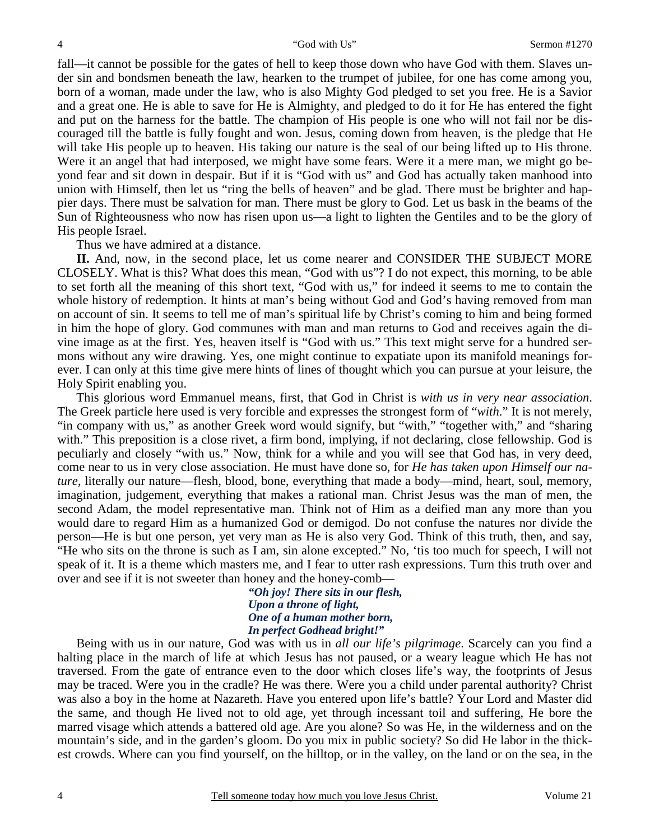fall—it cannot be possible for the gates of hell to keep those down who have God with them. Slaves under sin and bondsmen beneath the law, hearken to the trumpet of jubilee, for one has come among you, born of a woman, made under the law, who is also Mighty God pledged to set you free. He is a Savior and a great one. He is able to save for He is Almighty, and pledged to do it for He has entered the fight and put on the harness for the battle. The champion of His people is one who will not fail nor be discouraged till the battle is fully fought and won. Jesus, coming down from heaven, is the pledge that He will take His people up to heaven. His taking our nature is the seal of our being lifted up to His throne. Were it an angel that had interposed, we might have some fears. Were it a mere man, we might go beyond fear and sit down in despair. But if it is "God with us" and God has actually taken manhood into union with Himself, then let us "ring the bells of heaven" and be glad. There must be brighter and happier days. There must be salvation for man. There must be glory to God. Let us bask in the beams of the Sun of Righteousness who now has risen upon us—a light to lighten the Gentiles and to be the glory of His people Israel.

Thus we have admired at a distance.

**II.** And, now, in the second place, let us come nearer and CONSIDER THE SUBJECT MORE CLOSELY. What is this? What does this mean, "God with us"? I do not expect, this morning, to be able to set forth all the meaning of this short text, "God with us," for indeed it seems to me to contain the whole history of redemption. It hints at man's being without God and God's having removed from man on account of sin. It seems to tell me of man's spiritual life by Christ's coming to him and being formed in him the hope of glory. God communes with man and man returns to God and receives again the divine image as at the first. Yes, heaven itself is "God with us." This text might serve for a hundred sermons without any wire drawing. Yes, one might continue to expatiate upon its manifold meanings forever. I can only at this time give mere hints of lines of thought which you can pursue at your leisure, the Holy Spirit enabling you.

This glorious word Emmanuel means, first, that God in Christ is *with us in very near association*. The Greek particle here used is very forcible and expresses the strongest form of "*with*." It is not merely, "in company with us," as another Greek word would signify, but "with," "together with," and "sharing with." This preposition is a close rivet, a firm bond, implying, if not declaring, close fellowship. God is peculiarly and closely "with us." Now, think for a while and you will see that God has, in very deed, come near to us in very close association. He must have done so, for *He has taken upon Himself our nature,* literally our nature—flesh, blood, bone, everything that made a body—mind, heart, soul, memory, imagination, judgement, everything that makes a rational man. Christ Jesus was the man of men, the second Adam, the model representative man. Think not of Him as a deified man any more than you would dare to regard Him as a humanized God or demigod. Do not confuse the natures nor divide the person—He is but one person, yet very man as He is also very God. Think of this truth, then, and say, "He who sits on the throne is such as I am, sin alone excepted." No, 'tis too much for speech, I will not speak of it. It is a theme which masters me, and I fear to utter rash expressions. Turn this truth over and over and see if it is not sweeter than honey and the honey-comb—

> *"Oh joy! There sits in our flesh, Upon a throne of light, One of a human mother born, In perfect Godhead bright!"*

Being with us in our nature, God was with us in *all our life's pilgrimage*. Scarcely can you find a halting place in the march of life at which Jesus has not paused, or a weary league which He has not traversed. From the gate of entrance even to the door which closes life's way, the footprints of Jesus may be traced. Were you in the cradle? He was there. Were you a child under parental authority? Christ was also a boy in the home at Nazareth. Have you entered upon life's battle? Your Lord and Master did the same, and though He lived not to old age, yet through incessant toil and suffering, He bore the marred visage which attends a battered old age. Are you alone? So was He, in the wilderness and on the mountain's side, and in the garden's gloom. Do you mix in public society? So did He labor in the thickest crowds. Where can you find yourself, on the hilltop, or in the valley, on the land or on the sea, in the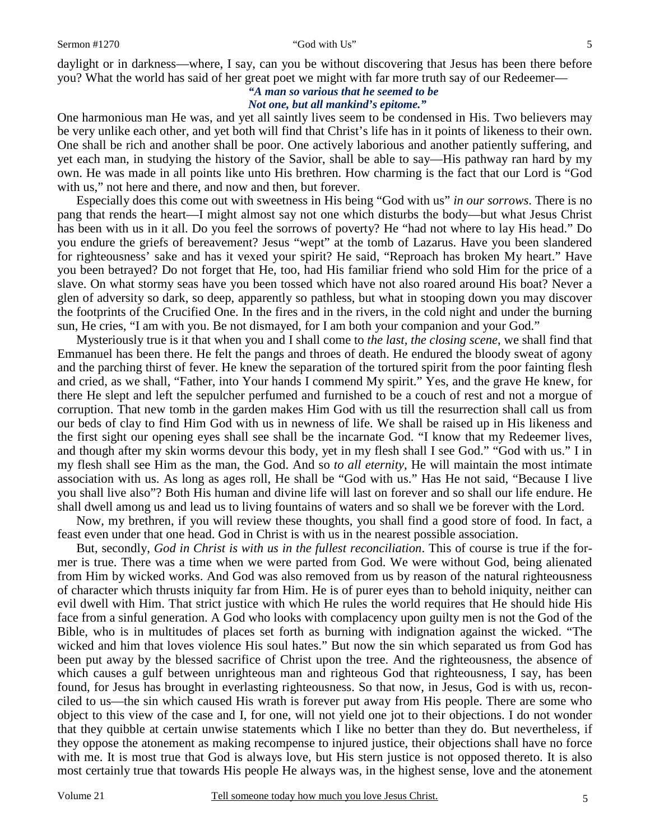daylight or in darkness—where, I say, can you be without discovering that Jesus has been there before you? What the world has said of her great poet we might with far more truth say of our Redeemer—

#### *"A man so various that he seemed to be*

#### *Not one, but all mankind's epitome."*

One harmonious man He was, and yet all saintly lives seem to be condensed in His. Two believers may be very unlike each other, and yet both will find that Christ's life has in it points of likeness to their own. One shall be rich and another shall be poor. One actively laborious and another patiently suffering, and yet each man, in studying the history of the Savior, shall be able to say—His pathway ran hard by my own. He was made in all points like unto His brethren. How charming is the fact that our Lord is "God with us," not here and there, and now and then, but forever.

 Especially does this come out with sweetness in His being "God with us" *in our sorrows*. There is no pang that rends the heart—I might almost say not one which disturbs the body—but what Jesus Christ has been with us in it all. Do you feel the sorrows of poverty? He "had not where to lay His head." Do you endure the griefs of bereavement? Jesus "wept" at the tomb of Lazarus. Have you been slandered for righteousness' sake and has it vexed your spirit? He said, "Reproach has broken My heart." Have you been betrayed? Do not forget that He, too, had His familiar friend who sold Him for the price of a slave. On what stormy seas have you been tossed which have not also roared around His boat? Never a glen of adversity so dark, so deep, apparently so pathless, but what in stooping down you may discover the footprints of the Crucified One. In the fires and in the rivers, in the cold night and under the burning sun, He cries, "I am with you. Be not dismayed, for I am both your companion and your God."

Mysteriously true is it that when you and I shall come to *the last, the closing scene*, we shall find that Emmanuel has been there. He felt the pangs and throes of death. He endured the bloody sweat of agony and the parching thirst of fever. He knew the separation of the tortured spirit from the poor fainting flesh and cried, as we shall, "Father, into Your hands I commend My spirit." Yes, and the grave He knew, for there He slept and left the sepulcher perfumed and furnished to be a couch of rest and not a morgue of corruption. That new tomb in the garden makes Him God with us till the resurrection shall call us from our beds of clay to find Him God with us in newness of life. We shall be raised up in His likeness and the first sight our opening eyes shall see shall be the incarnate God. "I know that my Redeemer lives, and though after my skin worms devour this body, yet in my flesh shall I see God." "God with us." I in my flesh shall see Him as the man, the God. And so *to all eternity,* He will maintain the most intimate association with us. As long as ages roll, He shall be "God with us." Has He not said, "Because I live you shall live also"? Both His human and divine life will last on forever and so shall our life endure. He shall dwell among us and lead us to living fountains of waters and so shall we be forever with the Lord.

Now, my brethren, if you will review these thoughts, you shall find a good store of food. In fact, a feast even under that one head. God in Christ is with us in the nearest possible association.

But, secondly, *God in Christ is with us in the fullest reconciliation*. This of course is true if the former is true. There was a time when we were parted from God. We were without God, being alienated from Him by wicked works. And God was also removed from us by reason of the natural righteousness of character which thrusts iniquity far from Him. He is of purer eyes than to behold iniquity, neither can evil dwell with Him. That strict justice with which He rules the world requires that He should hide His face from a sinful generation. A God who looks with complacency upon guilty men is not the God of the Bible, who is in multitudes of places set forth as burning with indignation against the wicked. "The wicked and him that loves violence His soul hates." But now the sin which separated us from God has been put away by the blessed sacrifice of Christ upon the tree. And the righteousness, the absence of which causes a gulf between unrighteous man and righteous God that righteousness, I say, has been found, for Jesus has brought in everlasting righteousness. So that now, in Jesus, God is with us, reconciled to us—the sin which caused His wrath is forever put away from His people. There are some who object to this view of the case and I, for one, will not yield one jot to their objections. I do not wonder that they quibble at certain unwise statements which I like no better than they do. But nevertheless, if they oppose the atonement as making recompense to injured justice, their objections shall have no force with me. It is most true that God is always love, but His stern justice is not opposed thereto. It is also most certainly true that towards His people He always was, in the highest sense, love and the atonement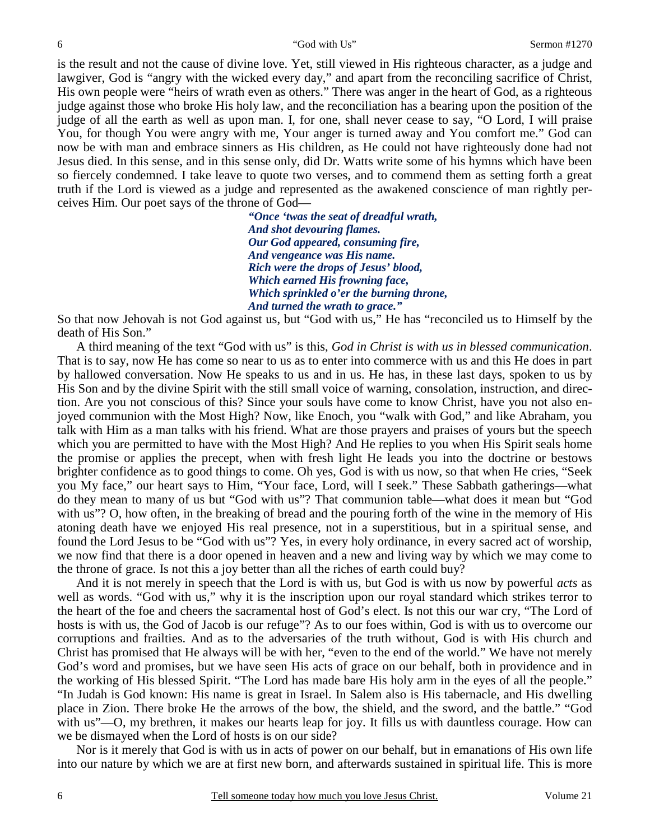is the result and not the cause of divine love. Yet, still viewed in His righteous character, as a judge and lawgiver, God is "angry with the wicked every day," and apart from the reconciling sacrifice of Christ, His own people were "heirs of wrath even as others." There was anger in the heart of God, as a righteous judge against those who broke His holy law, and the reconciliation has a bearing upon the position of the judge of all the earth as well as upon man. I, for one, shall never cease to say, "O Lord, I will praise You, for though You were angry with me, Your anger is turned away and You comfort me." God can now be with man and embrace sinners as His children, as He could not have righteously done had not Jesus died. In this sense, and in this sense only, did Dr. Watts write some of his hymns which have been so fiercely condemned. I take leave to quote two verses, and to commend them as setting forth a great truth if the Lord is viewed as a judge and represented as the awakened conscience of man rightly perceives Him. Our poet says of the throne of God—

> *"Once 'twas the seat of dreadful wrath, And shot devouring flames. Our God appeared, consuming fire, And vengeance was His name. Rich were the drops of Jesus' blood, Which earned His frowning face, Which sprinkled o'er the burning throne, And turned the wrath to grace."*

So that now Jehovah is not God against us, but "God with us," He has "reconciled us to Himself by the death of His Son."

A third meaning of the text "God with us" is this, *God in Christ is with us in blessed communication*. That is to say, now He has come so near to us as to enter into commerce with us and this He does in part by hallowed conversation. Now He speaks to us and in us. He has, in these last days, spoken to us by His Son and by the divine Spirit with the still small voice of warning, consolation, instruction, and direction. Are you not conscious of this? Since your souls have come to know Christ, have you not also enjoyed communion with the Most High? Now, like Enoch, you "walk with God," and like Abraham, you talk with Him as a man talks with his friend. What are those prayers and praises of yours but the speech which you are permitted to have with the Most High? And He replies to you when His Spirit seals home the promise or applies the precept, when with fresh light He leads you into the doctrine or bestows brighter confidence as to good things to come. Oh yes, God is with us now, so that when He cries, "Seek you My face," our heart says to Him, "Your face, Lord, will I seek." These Sabbath gatherings—what do they mean to many of us but "God with us"? That communion table—what does it mean but "God with us"? O, how often, in the breaking of bread and the pouring forth of the wine in the memory of His atoning death have we enjoyed His real presence, not in a superstitious, but in a spiritual sense, and found the Lord Jesus to be "God with us"? Yes, in every holy ordinance, in every sacred act of worship, we now find that there is a door opened in heaven and a new and living way by which we may come to the throne of grace. Is not this a joy better than all the riches of earth could buy?

And it is not merely in speech that the Lord is with us, but God is with us now by powerful *acts* as well as words. "God with us," why it is the inscription upon our royal standard which strikes terror to the heart of the foe and cheers the sacramental host of God's elect. Is not this our war cry, "The Lord of hosts is with us, the God of Jacob is our refuge"? As to our foes within, God is with us to overcome our corruptions and frailties. And as to the adversaries of the truth without, God is with His church and Christ has promised that He always will be with her, "even to the end of the world." We have not merely God's word and promises, but we have seen His acts of grace on our behalf, both in providence and in the working of His blessed Spirit. "The Lord has made bare His holy arm in the eyes of all the people." "In Judah is God known: His name is great in Israel. In Salem also is His tabernacle, and His dwelling place in Zion. There broke He the arrows of the bow, the shield, and the sword, and the battle." "God with us"—O, my brethren, it makes our hearts leap for joy. It fills us with dauntless courage. How can we be dismayed when the Lord of hosts is on our side?

Nor is it merely that God is with us in acts of power on our behalf, but in emanations of His own life into our nature by which we are at first new born, and afterwards sustained in spiritual life. This is more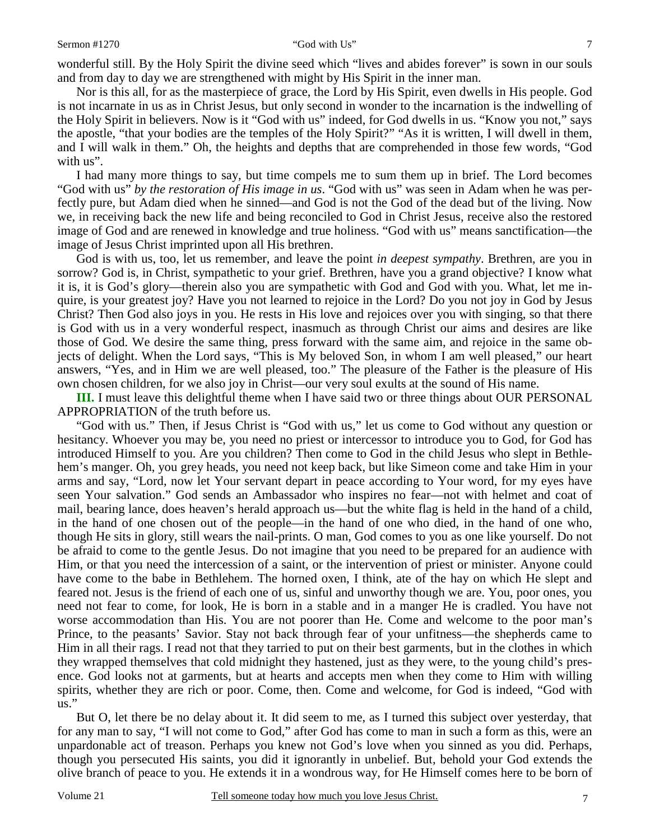wonderful still. By the Holy Spirit the divine seed which "lives and abides forever" is sown in our souls and from day to day we are strengthened with might by His Spirit in the inner man.

Nor is this all, for as the masterpiece of grace, the Lord by His Spirit, even dwells in His people. God is not incarnate in us as in Christ Jesus, but only second in wonder to the incarnation is the indwelling of the Holy Spirit in believers. Now is it "God with us" indeed, for God dwells in us. "Know you not," says the apostle, "that your bodies are the temples of the Holy Spirit?" "As it is written, I will dwell in them, and I will walk in them." Oh, the heights and depths that are comprehended in those few words, "God with us".

I had many more things to say, but time compels me to sum them up in brief. The Lord becomes "God with us" *by the restoration of His image in us*. "God with us" was seen in Adam when he was perfectly pure, but Adam died when he sinned—and God is not the God of the dead but of the living. Now we, in receiving back the new life and being reconciled to God in Christ Jesus, receive also the restored image of God and are renewed in knowledge and true holiness. "God with us" means sanctification—the image of Jesus Christ imprinted upon all His brethren.

God is with us, too, let us remember, and leave the point *in deepest sympathy*. Brethren, are you in sorrow? God is, in Christ, sympathetic to your grief. Brethren, have you a grand objective? I know what it is, it is God's glory—therein also you are sympathetic with God and God with you. What, let me inquire, is your greatest joy? Have you not learned to rejoice in the Lord? Do you not joy in God by Jesus Christ? Then God also joys in you. He rests in His love and rejoices over you with singing, so that there is God with us in a very wonderful respect, inasmuch as through Christ our aims and desires are like those of God. We desire the same thing, press forward with the same aim, and rejoice in the same objects of delight. When the Lord says, "This is My beloved Son, in whom I am well pleased," our heart answers, "Yes, and in Him we are well pleased, too." The pleasure of the Father is the pleasure of His own chosen children, for we also joy in Christ—our very soul exults at the sound of His name.

**III.** I must leave this delightful theme when I have said two or three things about OUR PERSONAL APPROPRIATION of the truth before us.

"God with us." Then, if Jesus Christ is "God with us," let us come to God without any question or hesitancy. Whoever you may be, you need no priest or intercessor to introduce you to God, for God has introduced Himself to you. Are you children? Then come to God in the child Jesus who slept in Bethlehem's manger. Oh, you grey heads, you need not keep back, but like Simeon come and take Him in your arms and say, "Lord, now let Your servant depart in peace according to Your word, for my eyes have seen Your salvation." God sends an Ambassador who inspires no fear—not with helmet and coat of mail, bearing lance, does heaven's herald approach us—but the white flag is held in the hand of a child, in the hand of one chosen out of the people—in the hand of one who died, in the hand of one who, though He sits in glory, still wears the nail-prints. O man, God comes to you as one like yourself. Do not be afraid to come to the gentle Jesus. Do not imagine that you need to be prepared for an audience with Him, or that you need the intercession of a saint, or the intervention of priest or minister. Anyone could have come to the babe in Bethlehem. The horned oxen, I think, ate of the hay on which He slept and feared not. Jesus is the friend of each one of us, sinful and unworthy though we are. You, poor ones, you need not fear to come, for look, He is born in a stable and in a manger He is cradled. You have not worse accommodation than His. You are not poorer than He. Come and welcome to the poor man's Prince, to the peasants' Savior. Stay not back through fear of your unfitness—the shepherds came to Him in all their rags. I read not that they tarried to put on their best garments, but in the clothes in which they wrapped themselves that cold midnight they hastened, just as they were, to the young child's presence. God looks not at garments, but at hearts and accepts men when they come to Him with willing spirits, whether they are rich or poor. Come, then. Come and welcome, for God is indeed, "God with us."

But O, let there be no delay about it. It did seem to me, as I turned this subject over yesterday, that for any man to say, "I will not come to God," after God has come to man in such a form as this, were an unpardonable act of treason. Perhaps you knew not God's love when you sinned as you did. Perhaps, though you persecuted His saints, you did it ignorantly in unbelief. But, behold your God extends the olive branch of peace to you. He extends it in a wondrous way, for He Himself comes here to be born of